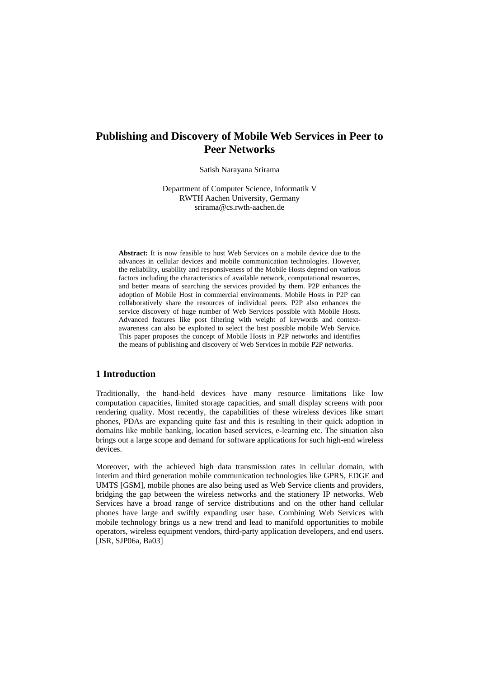# **Publishing and Discovery of Mobile Web Services in Peer to Peer Networks**

Satish Narayana Srirama

Department of Computer Science, Informatik V RWTH Aachen University, Germany srirama@cs.rwth-aachen.de

**Abstract:** It is now feasible to host Web Services on a mobile device due to the advances in cellular devices and mobile communication technologies. However, the reliability, usability and responsiveness of the Mobile Hosts depend on various factors including the characteristics of available network, computational resources, and better means of searching the services provided by them. P2P enhances the adoption of Mobile Host in commercial environments. Mobile Hosts in P2P can collaboratively share the resources of individual peers. P2P also enhances the service discovery of huge number of Web Services possible with Mobile Hosts. Advanced features like post filtering with weight of keywords and contextawareness can also be exploited to select the best possible mobile Web Service. This paper proposes the concept of Mobile Hosts in P2P networks and identifies the means of publishing and discovery of Web Services in mobile P2P networks.

# **1 Introduction**

Traditionally, the hand-held devices have many resource limitations like low computation capacities, limited storage capacities, and small display screens with poor rendering quality. Most recently, the capabilities of these wireless devices like smart phones, PDAs are expanding quite fast and this is resulting in their quick adoption in domains like mobile banking, location based services, e-learning etc. The situation also brings out a large scope and demand for software applications for such high-end wireless devices.

Moreover, with the achieved high data transmission rates in cellular domain, with interim and third generation mobile communication technologies like GPRS, EDGE and UMTS [GSM], mobile phones are also being used as Web Service clients and providers, bridging the gap between the wireless networks and the stationery IP networks. Web Services have a broad range of service distributions and on the other hand cellular phones have large and swiftly expanding user base. Combining Web Services with mobile technology brings us a new trend and lead to manifold opportunities to mobile operators, wireless equipment vendors, third-party application developers, and end users. [JSR, SJP06a, Ba03]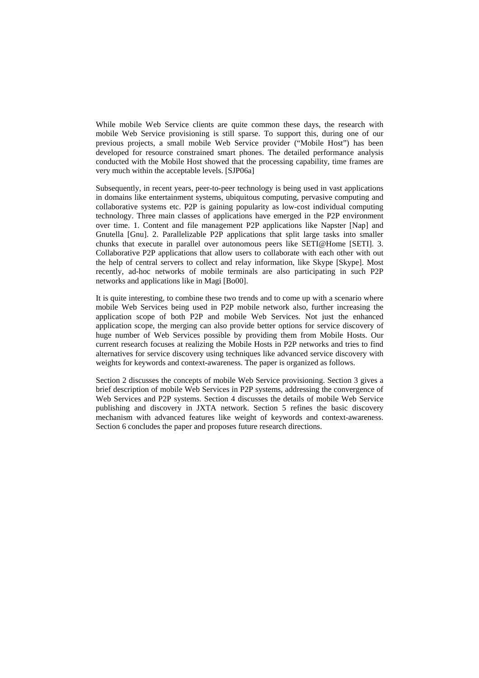While mobile Web Service clients are quite common these days, the research with mobile Web Service provisioning is still sparse. To support this, during one of our previous projects, a small mobile Web Service provider ("Mobile Host") has been developed for resource constrained smart phones. The detailed performance analysis conducted with the Mobile Host showed that the processing capability, time frames are very much within the acceptable levels. [SJP06a]

Subsequently, in recent years, peer-to-peer technology is being used in vast applications in domains like entertainment systems, ubiquitous computing, pervasive computing and collaborative systems etc. P2P is gaining popularity as low-cost individual computing technology. Three main classes of applications have emerged in the P2P environment over time. 1. Content and file management P2P applications like Napster [Nap] and Gnutella [Gnu]. 2. Parallelizable P2P applications that split large tasks into smaller chunks that execute in parallel over autonomous peers like SETI@Home [SETI]. 3. Collaborative P2P applications that allow users to collaborate with each other with out the help of central servers to collect and relay information, like Skype [Skype]. Most recently, ad-hoc networks of mobile terminals are also participating in such P2P networks and applications like in Magi [Bo00].

It is quite interesting, to combine these two trends and to come up with a scenario where mobile Web Services being used in P2P mobile network also, further increasing the application scope of both P2P and mobile Web Services. Not just the enhanced application scope, the merging can also provide better options for service discovery of huge number of Web Services possible by providing them from Mobile Hosts. Our current research focuses at realizing the Mobile Hosts in P2P networks and tries to find alternatives for service discovery using techniques like advanced service discovery with weights for keywords and context-awareness. The paper is organized as follows.

Section 2 discusses the concepts of mobile Web Service provisioning. Section 3 gives a brief description of mobile Web Services in P2P systems, addressing the convergence of Web Services and P2P systems. Section 4 discusses the details of mobile Web Service publishing and discovery in JXTA network. Section 5 refines the basic discovery mechanism with advanced features like weight of keywords and context-awareness. Section 6 concludes the paper and proposes future research directions.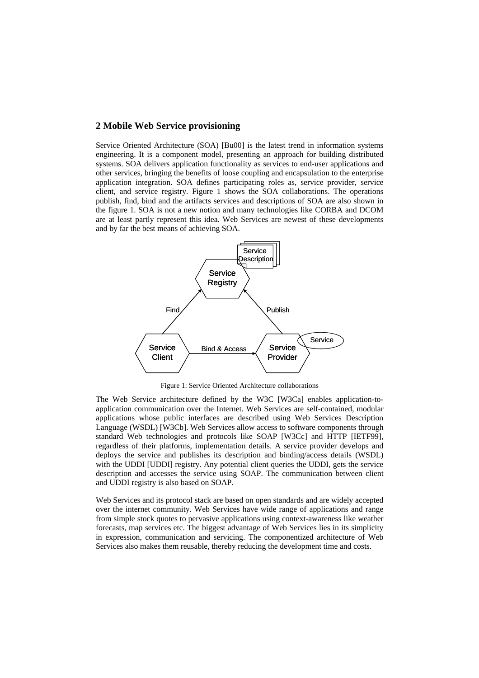### **2 Mobile Web Service provisioning**

Service Oriented Architecture (SOA) [Bu00] is the latest trend in information systems engineering. It is a component model, presenting an approach for building distributed systems. SOA delivers application functionality as services to end-user applications and other services, bringing the benefits of loose coupling and encapsulation to the enterprise application integration. SOA defines participating roles as, service provider, service client, and service registry. Figure 1 shows the SOA collaborations. The operations publish, find, bind and the artifacts services and descriptions of SOA are also shown in the figure 1. SOA is not a new notion and many technologies like CORBA and DCOM are at least partly represent this idea. Web Services are newest of these developments and by far the best means of achieving SOA.



Figure 1: Service Oriented Architecture collaborations

The Web Service architecture defined by the W3C [W3Ca] enables application-toapplication communication over the Internet. Web Services are self-contained, modular applications whose public interfaces are described using Web Services Description Language (WSDL) [W3Cb]. Web Services allow access to software components through standard Web technologies and protocols like SOAP [W3Cc] and HTTP [IETF99], regardless of their platforms, implementation details. A service provider develops and deploys the service and publishes its description and binding/access details (WSDL) with the UDDI [UDDI] registry. Any potential client queries the UDDI, gets the service description and accesses the service using SOAP. The communication between client and UDDI registry is also based on SOAP.

Web Services and its protocol stack are based on open standards and are widely accepted over the internet community. Web Services have wide range of applications and range from simple stock quotes to pervasive applications using context-awareness like weather forecasts, map services etc. The biggest advantage of Web Services lies in its simplicity in expression, communication and servicing. The componentized architecture of Web Services also makes them reusable, thereby reducing the development time and costs.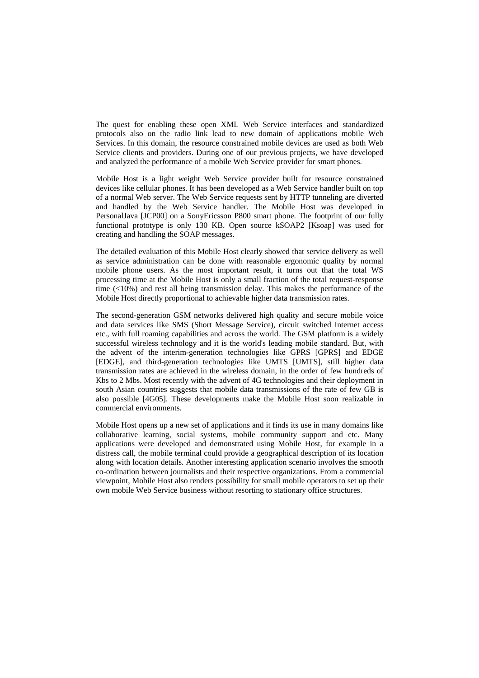The quest for enabling these open XML Web Service interfaces and standardized protocols also on the radio link lead to new domain of applications mobile Web Services. In this domain, the resource constrained mobile devices are used as both Web Service clients and providers. During one of our previous projects, we have developed and analyzed the performance of a mobile Web Service provider for smart phones.

Mobile Host is a light weight Web Service provider built for resource constrained devices like cellular phones. It has been developed as a Web Service handler built on top of a normal Web server. The Web Service requests sent by HTTP tunneling are diverted and handled by the Web Service handler. The Mobile Host was developed in PersonalJava [JCP00] on a SonyEricsson P800 smart phone. The footprint of our fully functional prototype is only 130 KB. Open source kSOAP2 [Ksoap] was used for creating and handling the SOAP messages.

The detailed evaluation of this Mobile Host clearly showed that service delivery as well as service administration can be done with reasonable ergonomic quality by normal mobile phone users. As the most important result, it turns out that the total WS processing time at the Mobile Host is only a small fraction of the total request-response time  $(10\%)$  and rest all being transmission delay. This makes the performance of the Mobile Host directly proportional to achievable higher data transmission rates.

The second-generation GSM networks delivered high quality and secure mobile voice and data services like SMS (Short Message Service), circuit switched Internet access etc., with full roaming capabilities and across the world. The GSM platform is a widely successful wireless technology and it is the world's leading mobile standard. But, with the advent of the interim-generation technologies like GPRS [GPRS] and EDGE [EDGE], and third-generation technologies like UMTS [UMTS], still higher data transmission rates are achieved in the wireless domain, in the order of few hundreds of Kbs to 2 Mbs. Most recently with the advent of 4G technologies and their deployment in south Asian countries suggests that mobile data transmissions of the rate of few GB is also possible [4G05]. These developments make the Mobile Host soon realizable in commercial environments.

Mobile Host opens up a new set of applications and it finds its use in many domains like collaborative learning, social systems, mobile community support and etc. Many applications were developed and demonstrated using Mobile Host, for example in a distress call, the mobile terminal could provide a geographical description of its location along with location details. Another interesting application scenario involves the smooth co-ordination between journalists and their respective organizations. From a commercial viewpoint, Mobile Host also renders possibility for small mobile operators to set up their own mobile Web Service business without resorting to stationary office structures.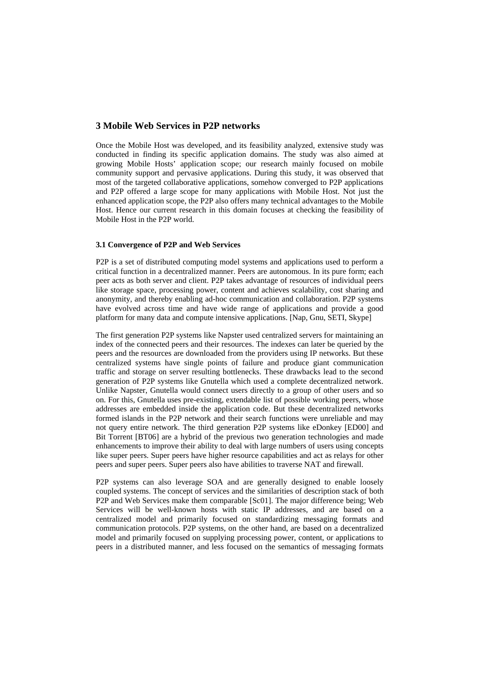### **3 Mobile Web Services in P2P networks**

Once the Mobile Host was developed, and its feasibility analyzed, extensive study was conducted in finding its specific application domains. The study was also aimed at growing Mobile Hosts' application scope; our research mainly focused on mobile community support and pervasive applications. During this study, it was observed that most of the targeted collaborative applications, somehow converged to P2P applications and P2P offered a large scope for many applications with Mobile Host. Not just the enhanced application scope, the P2P also offers many technical advantages to the Mobile Host. Hence our current research in this domain focuses at checking the feasibility of Mobile Host in the P2P world.

### **3.1 Convergence of P2P and Web Services**

P2P is a set of distributed computing model systems and applications used to perform a critical function in a decentralized manner. Peers are autonomous. In its pure form; each peer acts as both server and client. P2P takes advantage of resources of individual peers like storage space, processing power, content and achieves scalability, cost sharing and anonymity, and thereby enabling ad-hoc communication and collaboration. P2P systems have evolved across time and have wide range of applications and provide a good platform for many data and compute intensive applications. [Nap, Gnu, SETI, Skype]

The first generation P2P systems like Napster used centralized servers for maintaining an index of the connected peers and their resources. The indexes can later be queried by the peers and the resources are downloaded from the providers using IP networks. But these centralized systems have single points of failure and produce giant communication traffic and storage on server resulting bottlenecks. These drawbacks lead to the second generation of P2P systems like Gnutella which used a complete decentralized network. Unlike Napster, Gnutella would connect users directly to a group of other users and so on. For this, Gnutella uses pre-existing, extendable list of possible working peers, whose addresses are embedded inside the application code. But these decentralized networks formed islands in the P2P network and their search functions were unreliable and may not query entire network. The third generation P2P systems like eDonkey [ED00] and Bit Torrent [BT06] are a hybrid of the previous two generation technologies and made enhancements to improve their ability to deal with large numbers of users using concepts like super peers. Super peers have higher resource capabilities and act as relays for other peers and super peers. Super peers also have abilities to traverse NAT and firewall.

P2P systems can also leverage SOA and are generally designed to enable loosely coupled systems. The concept of services and the similarities of description stack of both P2P and Web Services make them comparable [Sc01]. The major difference being; Web Services will be well-known hosts with static IP addresses, and are based on a centralized model and primarily focused on standardizing messaging formats and communication protocols. P2P systems, on the other hand, are based on a decentralized model and primarily focused on supplying processing power, content, or applications to peers in a distributed manner, and less focused on the semantics of messaging formats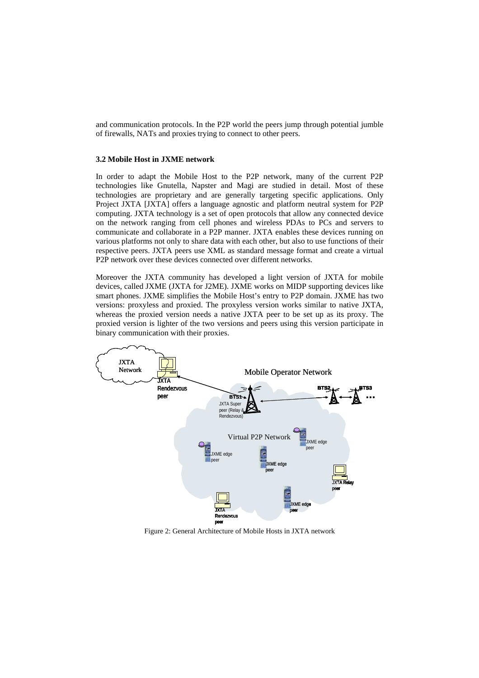and communication protocols. In the P2P world the peers jump through potential jumble of firewalls, NATs and proxies trying to connect to other peers.

### **3.2 Mobile Host in JXME network**

In order to adapt the Mobile Host to the P2P network, many of the current P2P technologies like Gnutella, Napster and Magi are studied in detail. Most of these technologies are proprietary and are generally targeting specific applications. Only Project JXTA [JXTA] offers a language agnostic and platform neutral system for P2P computing. JXTA technology is a set of open protocols that allow any connected device on the network ranging from cell phones and wireless PDAs to PCs and servers to communicate and collaborate in a P2P manner. JXTA enables these devices running on various platforms not only to share data with each other, but also to use functions of their respective peers. JXTA peers use XML as standard message format and create a virtual P2P network over these devices connected over different networks.

Moreover the JXTA community has developed a light version of JXTA for mobile devices, called JXME (JXTA for J2ME). JXME works on MIDP supporting devices like smart phones. JXME simplifies the Mobile Host's entry to P2P domain. JXME has two versions: proxyless and proxied. The proxyless version works similar to native JXTA, whereas the proxied version needs a native JXTA peer to be set up as its proxy. The proxied version is lighter of the two versions and peers using this version participate in binary communication with their proxies.



Figure 2: General Architecture of Mobile Hosts in JXTA network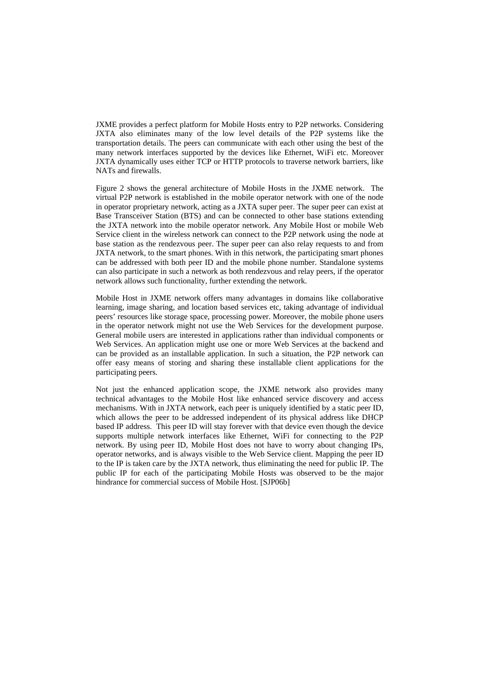JXME provides a perfect platform for Mobile Hosts entry to P2P networks. Considering JXTA also eliminates many of the low level details of the P2P systems like the transportation details. The peers can communicate with each other using the best of the many network interfaces supported by the devices like Ethernet, WiFi etc. Moreover JXTA dynamically uses either TCP or HTTP protocols to traverse network barriers, like NATs and firewalls.

Figure 2 shows the general architecture of Mobile Hosts in the JXME network. The virtual P2P network is established in the mobile operator network with one of the node in operator proprietary network, acting as a JXTA super peer. The super peer can exist at Base Transceiver Station (BTS) and can be connected to other base stations extending the JXTA network into the mobile operator network. Any Mobile Host or mobile Web Service client in the wireless network can connect to the P2P network using the node at base station as the rendezvous peer. The super peer can also relay requests to and from JXTA network, to the smart phones. With in this network, the participating smart phones can be addressed with both peer ID and the mobile phone number. Standalone systems can also participate in such a network as both rendezvous and relay peers, if the operator network allows such functionality, further extending the network.

Mobile Host in JXME network offers many advantages in domains like collaborative learning, image sharing, and location based services etc, taking advantage of individual peers' resources like storage space, processing power. Moreover, the mobile phone users in the operator network might not use the Web Services for the development purpose. General mobile users are interested in applications rather than individual components or Web Services. An application might use one or more Web Services at the backend and can be provided as an installable application. In such a situation, the P2P network can offer easy means of storing and sharing these installable client applications for the participating peers.

Not just the enhanced application scope, the JXME network also provides many technical advantages to the Mobile Host like enhanced service discovery and access mechanisms. With in JXTA network, each peer is uniquely identified by a static peer ID, which allows the peer to be addressed independent of its physical address like DHCP based IP address. This peer ID will stay forever with that device even though the device supports multiple network interfaces like Ethernet, WiFi for connecting to the P2P network. By using peer ID, Mobile Host does not have to worry about changing IPs, operator networks, and is always visible to the Web Service client. Mapping the peer ID to the IP is taken care by the JXTA network, thus eliminating the need for public IP. The public IP for each of the participating Mobile Hosts was observed to be the major hindrance for commercial success of Mobile Host. [SJP06b]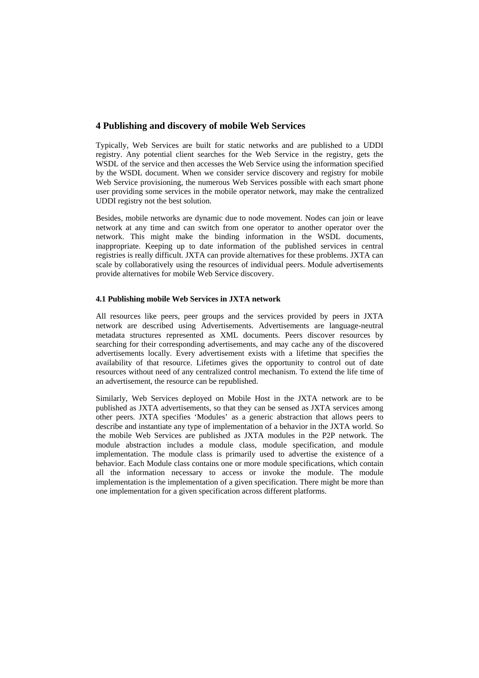# **4 Publishing and discovery of mobile Web Services**

Typically, Web Services are built for static networks and are published to a UDDI registry. Any potential client searches for the Web Service in the registry, gets the WSDL of the service and then accesses the Web Service using the information specified by the WSDL document. When we consider service discovery and registry for mobile Web Service provisioning, the numerous Web Services possible with each smart phone user providing some services in the mobile operator network, may make the centralized UDDI registry not the best solution.

Besides, mobile networks are dynamic due to node movement. Nodes can join or leave network at any time and can switch from one operator to another operator over the network. This might make the binding information in the WSDL documents, inappropriate. Keeping up to date information of the published services in central registries is really difficult. JXTA can provide alternatives for these problems. JXTA can scale by collaboratively using the resources of individual peers. Module advertisements provide alternatives for mobile Web Service discovery.

### **4.1 Publishing mobile Web Services in JXTA network**

All resources like peers, peer groups and the services provided by peers in JXTA network are described using Advertisements. Advertisements are language-neutral metadata structures represented as XML documents. Peers discover resources by searching for their corresponding advertisements, and may cache any of the discovered advertisements locally. Every advertisement exists with a lifetime that specifies the availability of that resource. Lifetimes gives the opportunity to control out of date resources without need of any centralized control mechanism. To extend the life time of an advertisement, the resource can be republished.

other peers. JXTA specifies 'Modules' as a generic abstraction that allows peers to one implementation for a given specification across different platforms. Similarly, Web Services deployed on Mobile Host in the JXTA network are to be published as JXTA advertisements, so that they can be sensed as JXTA services among describe and instantiate any type of implementation of a behavior in the JXTA world. So the mobile Web Services are published as JXTA modules in the P2P network. The module abstraction includes a module class, module specification, and module implementation. The module class is primarily used to advertise the existence of a behavior. Each Module class contains one or more module specifications, which contain all the information necessary to access or invoke the module. The module implementation is the implementation of a given specification. There might be more than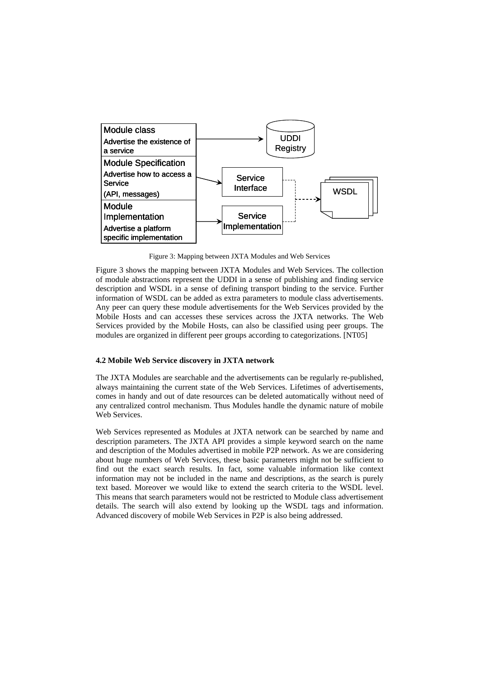

Figure 3: Mapping between JXTA Modules and Web Services

Figure 3 shows the mapping between JXTA Modules and Web Services. The collection of module abstractions represent the UDDI in a sense of publishing and finding service description and WSDL in a sense of defining transport binding to the service. Further information of WSDL can be added as extra parameters to module class advertisements. Any peer can query these module advertisements for the Web Services provided by the Mobile Hosts and can accesses these services across the JXTA networks. The Web Services provided by the Mobile Hosts, can also be classified using peer groups. The modules are organized in different peer groups according to categorizations. [NT05]

#### **4.2 Mobile Web Service discovery in JXTA network**

The JXTA Modules are searchable and the advertisements can be regularly re-published, always maintaining the current state of the Web Services. Lifetimes of advertisements, comes in handy and out of date resources can be deleted automatically without need of any centralized control mechanism. Thus Modules handle the dynamic nature of mobile Web Services.

Web Services represented as Modules at JXTA network can be searched by name and description parameters. The JXTA API provides a simple keyword search on the name and description of the Modules advertised in mobile P2P network. As we are consideri ng about huge numbers of Web Services, these basic parameters might not be sufficient to find out the exact search results. In fact, some valuable information like context information may not be included in the name and descriptions, as the search is purely text based. Moreover we would like to extend the search criteria to the WSDL level. This means that search parameters would not be restricted to Module class advertisement details. The search will also extend by looking up the WSDL tags and information. Advanced discovery of mobile Web Services in P2P is also being addressed.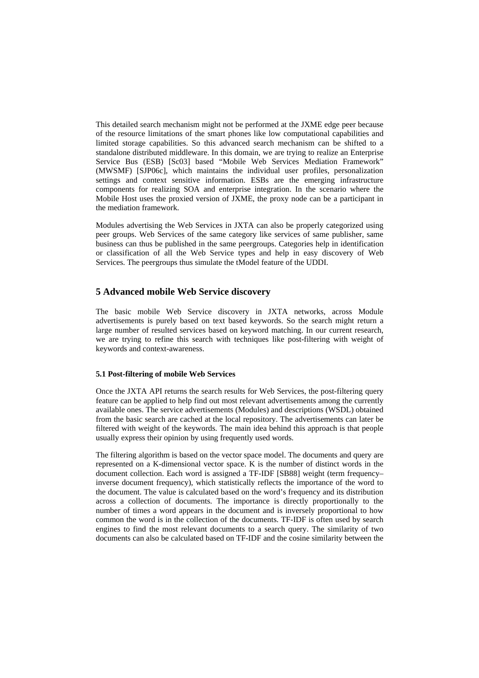This detailed search mechanism might not be performed at the JXME edge peer because of the resource limitations of the smart phones like low computational capabilities and settings and context sensitive information. ESBs are the emerging infrastructure limited storage capabilities. So this advanced search mechanism can be shifted to a standalone distributed middleware. In this domain, we are trying to realize an Enterprise Service Bus (ESB) [Sc03] based "Mobile Web Services Mediation Framework" (MWSMF) [SJP06c], which maintains the individual user profiles, personalization components for realizing SOA and enterprise integration. In the scenario where the Mobile Host uses the proxied version of JXME, the proxy node can be a participant in the mediation framework.

Modules advertising the Web Services in JXTA can also be properly categorized using peer groups. Web Services of the same category like services of same publisher, same business can thus be published in the same peergroups. Categories help in identification or classification of all the Web Service types and help in easy discovery of Web Services. The peergroups thus simulate the tModel feature of the UDDI.

# **5 Advanced mobile Web Service discovery**

The basic mobile Web Service discovery in JXTA networks, across Module advertisements is purely based on text based keywords. So the search might return a large number of resulted services based on keyword matching. In our current research, we are trying to refine this search with techniques like post-filtering with weight of keywords and context-awareness.

### **5.1 Post-filtering of mobile Web Services**

Once the JXTA API returns the search results for Web Services, the post-filtering query feature can be applied to help find out most relevant advertisements among the currently available ones. The service advertisements (Modules) and descriptions (WSDL) obtained from the basic search are cached at the local repository. The advertisements can later be filtered with weight of the keywords. The main idea behind this approach is that people usually express their opinion by using frequently used words.

The filtering algorithm is based on the vector space model. The documents and query are represented on a K-dimensional vector space. K is the number of distinct words in the document collection. Each word is assigned a TF-IDF [SB88] weight (term frequency– common the word is in the collection of the documents. TF-IDF is often used by search engines to find the most relevant documents to a search query. The similarity of two documents can also be calculated based on TF-IDF and the cosine similarity between the inverse document frequency), which statistically reflects the importance of the word to the document. The value is calculated based on the word's frequency and its distribution across a collection of documents. The importance is directly proportionally to the number of times a word appears in the document and is inversely proportional to how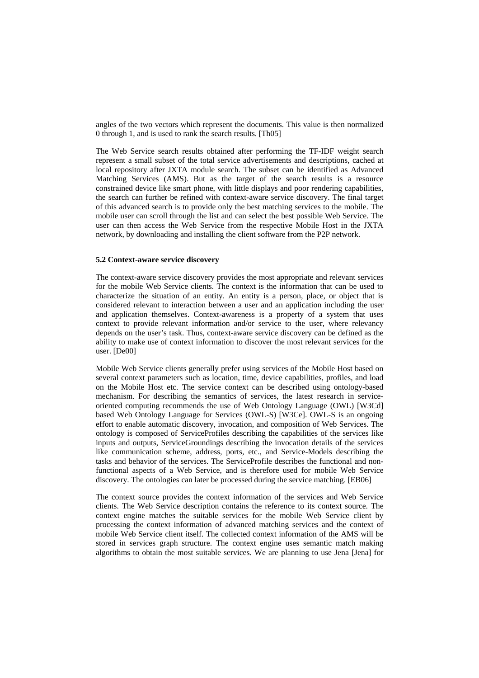angles of the two vectors which represent the documents. This value is then normalized 0 through 1, and is used to rank the search results. [Th05]

constrained device like smart phone, with little displays and poor rendering capabilities, the search can further be refined with context-aware service discovery. The final target The Web Service search results obtained after performing the TF-IDF weight search represent a small subset of the total service advertisements and descriptions, cached at local repository after JXTA module search. The subset can be identified as Advanced Matching Services (AMS). But as the target of the search results is a resource of this advanced search is to provide only the best matching services to the mobile. The mobile user can scroll through the list and can select the best possible Web Service. The user can then access the Web Service from the respective Mobile Host in the JXTA network, by downloading and installing the client software from the P2P network.

### **5.2 Context-aware service discovery**

and application themselves. Context-awareness is a property of a system that uses The context-aware service discovery provides the most appropriate and relevant services for the mobile Web Service clients. The context is the information that can be used to characterize the situation of an entity. An entity is a person, place, or object that is considered relevant to interaction between a user and an application including the user context to provide relevant information and/or service to the user, where relevancy depends on the user's task. Thus, context-aware service discovery can be defined as the ability to make use of context information to discover the most relevant services for the user. [De00]

based Web Ontology Language for Services (OWL-S) [W3Ce]. OWL-S is an ongoing effort to enable automatic discovery, invocation, and composition of Web Services. The ontology is composed of ServiceProfiles describing the capabilities of the services like inputs and outputs, ServiceGroundings describing the invocation details of the services Mobile Web Service clients generally prefer using services of the Mobile Host based on several context parameters such as location, time, device capabilities, profiles, and load on the Mobile Host etc. The service context can be described using ontology-based mechanism. For describing the semantics of services, the latest research in serviceoriented computing recommends the use of Web Ontology Language (OWL) [W3Cd] like communication scheme, address, ports, etc., and Service-Models describing the tasks and behavior of the services. The ServiceProfile describes the functional and nonfunctional aspects of a Web Service, and is therefore used for mobile Web Service discovery. The ontologies can later be processed during the service matching. [EB06]

processing the context information of advanced matching services and the context of mobile Web Service client itself. The collected context information of the AMS will be stored in services graph structure. The context engine uses semantic match making algorithms to obtain the most suitable services. We are planning to use Jena [Jena] for The context source provides the context information of the services and Web Service clients. The Web Service description contains the reference to its context source. The context engine matches the suitable services for the mobile Web Service client by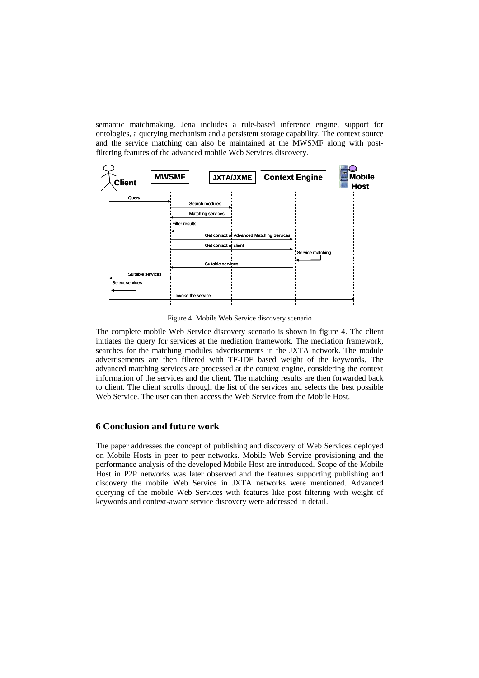semantic matchmaking. Jena includes a rule-based inference engine, support for ontologies, a querying mechanism and a persistent storage capability. The context source and the service matching can also be maintained at the MWSMF along with postfiltering features of the advanced mobile Web Services discovery.



Figure 4: Mobile Web Service discovery scenario

The complete mobile Web Service discovery scenario is shown in figure 4. The client initiates the query for services at the mediation framework. The mediation framework, searches for the matching modules advertisements in the JXTA network. The module advertisements are then filtered with TF-IDF based weight of the keywords. The advanced matching services are processed at the context engine, considering the context information of the services and the client. The matching results are then forwarded back to client. The client scrolls through the list of the services and selects the best possible Web Service. The user can then access the Web Service from the Mobile Host.

### **6 Conclusion and future work**

The paper addresses the concept of publishing and discovery of Web Services deployed on Mobile Hosts in peer to peer networks. Mobile Web Service provisioning and the performance analysis of the developed Mobile Host are introduced. Scope of the Mobile Host in P2P networks was later observed and the features supporting publishing and discovery the mobile Web Service in JXTA networks were mentioned. Advanced querying of the mobile Web Services with features like post filtering with weight of keywords and context-aware service discovery were addressed in detail.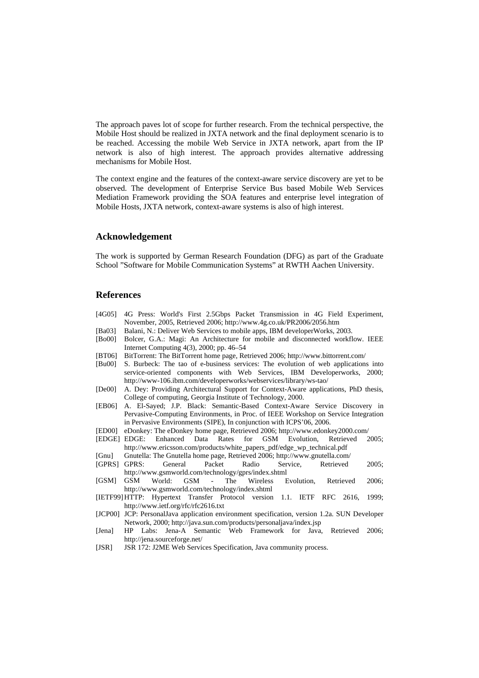The approach paves lot of scope for further research. From the technical perspective, the Mobile Host should be realized in JXTA network and the final deployment scenario is to be reached. Accessing the mobile Web Service in JXTA network, apart from the IP network is also of high interest. The approach provides alternative addressing mechanisms for Mobile Host.

The context engine and the features of the context-aware service discovery are yet to be observed. The development of Enterprise Service Bus based Mobile Web Services Mediation Framework providing the SOA features and enterprise level integration of Mobile Hosts, JXTA network, context-aware systems is also of high interest.

### **Acknowledgement**

The work is supported by German Research Foundation (DFG) as part of the Graduate School "Software for Mobile Communication Systems" at RWTH Aachen University.

### **References**

- [4G05] 4G Press: World's First 2.5Gbps Packet Transmission in 4G Field Experiment, November, 2005, Retrieved 2006; http://www.4g.co.uk/PR2006/2056.htm
- [Ba03] Balani, N.: Deliver Web Services to mobile apps, IBM developerWorks, 2003.
- Internet Computing 4(3), 2000; pp. 46–54 [Bo00] Bolcer, G.A.: Magi: An Architecture for mobile and disconnected workflow. IEEE
- [BT06] BitTorrent: The BitTorrent home page, Retrieved 2006; http://www.bittorrent.com/
- [Bu00] S. Burbeck: The tao of e-business services: The evolution of web applications into service-oriented components with Web Services, IBM Developerworks, 2000; http://www-106.ibm.com/developerworks/webservices/library/ws-tao/
- [De00] A. Dey: Providing Architectural Support for Context-Aware applications, PhD thesis, College of computing, Georgia Institute of Technology, 2000.
- [EB06] A. El-Sayed; J.P. Black: Semantic-Based Context-Aware Service Discovery in Pervasive-Computing Environments, in Proc. of IEEE Workshop on Service Integration in Pervasive Environments (SIPE), In conjunction with ICPS'06, 2006.
- [ED00] eDonkey: The eDonkey home page, Retrieved 2006; http://www.edonkey2000.com/
- [EDGE] EDGE: Enhanced Data Rates for GSM Evolution, Retrieved 2005; http://www.ericsson.com/products/white\_papers\_pdf/edge\_wp\_technical.pdf
- [Gnu] Gnutella: The Gnutella home page, Retrieved 2006; http://www.gnutella.com/
- [GPRS] GPRS: General Packet Radio Service, Retrieved 2005; http://www.gsmworld.com/technology/gprs/index.shtml
- World: GSM The Wireless Evolution, Retrieved 2006; http://www.gsmworld.com/technology/index.shtml [GSM] GSM
- [IETF99] HTTP: Hypertext Transfer Protocol version 1.1. IETF RFC 2616, 1999; http://www.ietf.org/rfc/rfc2616.txt
- [JCP00] JCP: PersonalJava application environment specification, version 1.2a. SUN Developer Network, 2000; http://java.sun.com/products/personaljava/index.jsp
- [Jena] HP Labs: Jena-A Semantic Web Framework for Java, Retrieved 2006; http://jena.sourceforge.net/
- [JSR] JSR 172: J2ME Web Services Specification, Java community process.